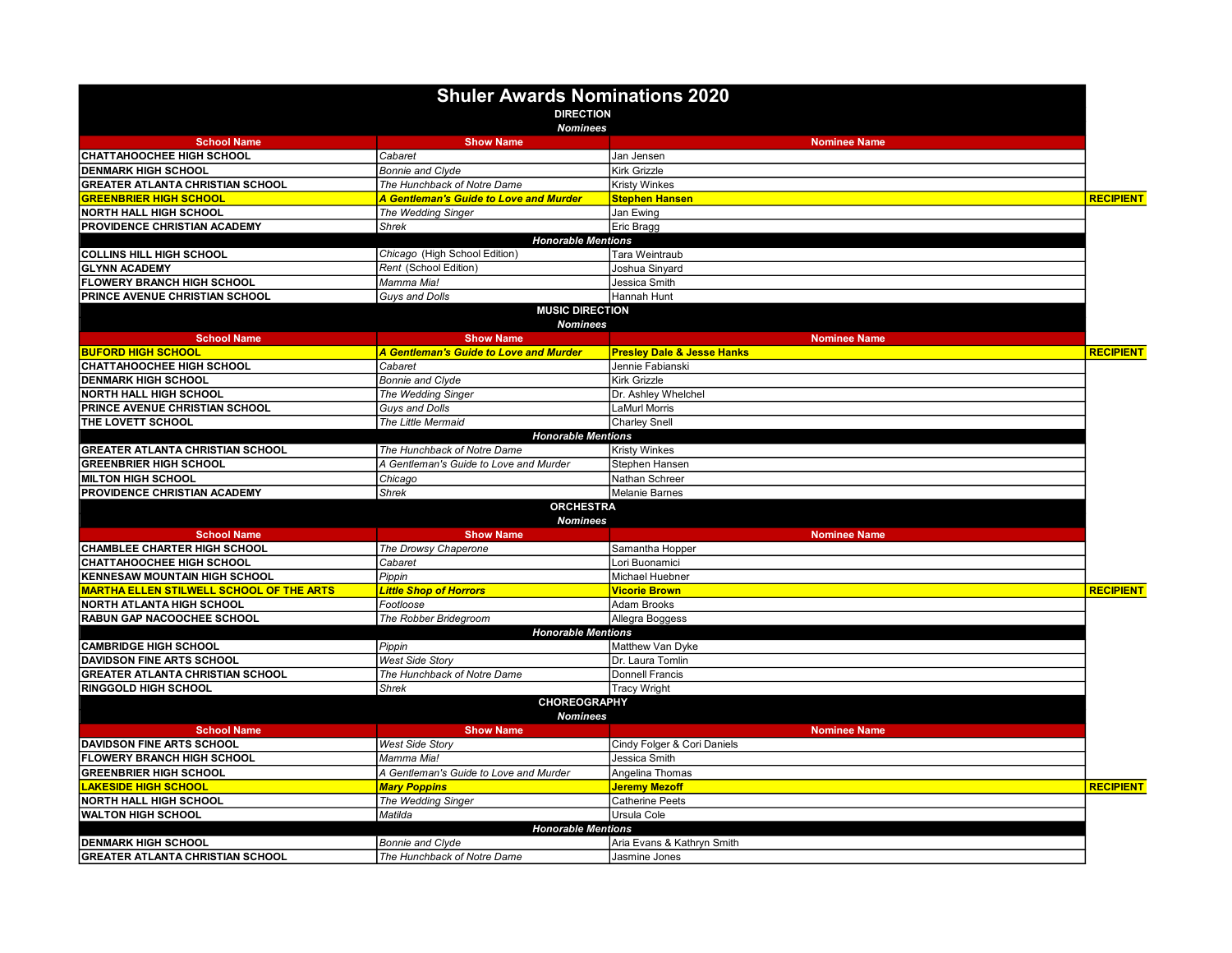|                                                 | <b>Shuler Awards Nominations 2020</b>     |                                       |                  |
|-------------------------------------------------|-------------------------------------------|---------------------------------------|------------------|
|                                                 | <b>DIRECTION</b>                          |                                       |                  |
|                                                 | <b>Nominees</b>                           |                                       |                  |
| <b>School Name</b>                              | <b>Show Name</b>                          | <b>Nominee Name</b>                   |                  |
| <b>CHATTAHOOCHEE HIGH SCHOOL</b>                | Cabaret                                   | Jan Jensen                            |                  |
| <b>DENMARK HIGH SCHOOL</b>                      | <b>Bonnie and Clyde</b>                   | <b>Kirk Grizzle</b>                   |                  |
| <b>GREATER ATLANTA CHRISTIAN SCHOOL</b>         | The Hunchback of Notre Dame               | <b>Kristy Winkes</b>                  |                  |
| <b>GREENBRIER HIGH SCHOOL</b>                   | A Gentleman's Guide to Love and Murder    | <b>Stephen Hansen</b>                 | <b>RECIPIENT</b> |
| <b>NORTH HALL HIGH SCHOOL</b>                   | The Wedding Singer                        | Jan Ewing                             |                  |
| PROVIDENCE CHRISTIAN ACADEMY                    | <b>Shrek</b>                              | Eric Bragg                            |                  |
|                                                 | <b>Honorable Mentions</b>                 |                                       |                  |
| <b>COLLINS HILL HIGH SCHOOL</b>                 | Chicago (High School Edition)             | Tara Weintraub                        |                  |
| <b>GLYNN ACADEMY</b>                            | Rent (School Edition)                     | Joshua Sinyard                        |                  |
| <b>FLOWERY BRANCH HIGH SCHOOL</b>               | Mamma Mia!                                | Jessica Smith                         |                  |
| PRINCE AVENUE CHRISTIAN SCHOOL                  | Guys and Dolls                            | Hannah Hunt                           |                  |
|                                                 | <b>MUSIC DIRECTION</b><br><b>Nominees</b> |                                       |                  |
| <b>School Name</b>                              | <b>Show Name</b>                          | <b>Nominee Name</b>                   |                  |
| <b>BUFORD HIGH SCHOOL</b>                       | A Gentleman's Guide to Love and Murder    | <b>Presley Dale &amp; Jesse Hanks</b> | <b>RECIPIENT</b> |
| <b>CHATTAHOOCHEE HIGH SCHOOL</b>                | Cabaret                                   | Jennie Fabianski                      |                  |
| <b>DENMARK HIGH SCHOOL</b>                      | <b>Bonnie and Clyde</b>                   | <b>Kirk Grizzle</b>                   |                  |
| <b>NORTH HALL HIGH SCHOOL</b>                   | The Wedding Singer                        | Dr. Ashley Whelchel                   |                  |
| PRINCE AVENUE CHRISTIAN SCHOOL                  | Guys and Dolls                            | <b>LaMurl Morris</b>                  |                  |
| THE LOVETT SCHOOL                               | The Little Mermaid                        | <b>Charley Snell</b>                  |                  |
|                                                 | <b>Honorable Mentions</b>                 |                                       |                  |
| <b>GREATER ATLANTA CHRISTIAN SCHOOL</b>         | The Hunchback of Notre Dame               | <b>Kristy Winkes</b>                  |                  |
| <b>GREENBRIER HIGH SCHOOL</b>                   | A Gentleman's Guide to Love and Murder    | Stephen Hansen                        |                  |
| <b>MILTON HIGH SCHOOL</b>                       | Chicago                                   | Nathan Schreer                        |                  |
| PROVIDENCE CHRISTIAN ACADEMY                    | <b>Shrek</b>                              | <b>Melanie Barnes</b>                 |                  |
|                                                 | <b>ORCHESTRA</b>                          |                                       |                  |
|                                                 | <b>Nominees</b>                           |                                       |                  |
| <b>School Name</b>                              | <b>Show Name</b>                          | <b>Nominee Name</b>                   |                  |
| <b>CHAMBLEE CHARTER HIGH SCHOOL</b>             | The Drowsy Chaperone                      | Samantha Hopper                       |                  |
| <b>CHATTAHOOCHEE HIGH SCHOOL</b>                | Cabaret                                   | Lori Buonamici                        |                  |
| <b>KENNESAW MOUNTAIN HIGH SCHOOL</b>            | Pippin                                    | Michael Huebner                       |                  |
| <b>MARTHA ELLEN STILWELL SCHOOL OF THE ARTS</b> | <b>Little Shop of Horrors</b>             | <b>Vicorie Brown</b>                  | <b>RECIPIENT</b> |
| <b>NORTH ATLANTA HIGH SCHOOL</b>                | Footloose                                 | Adam Brooks                           |                  |
| RABUN GAP NACOOCHEE SCHOOL                      | The Robber Bridegroom                     | Allegra Boggess                       |                  |
|                                                 | <b>Honorable Mentions</b>                 |                                       |                  |
| <b>CAMBRIDGE HIGH SCHOOL</b>                    | Pippin                                    | Matthew Van Dyke                      |                  |
| <b>DAVIDSON FINE ARTS SCHOOL</b>                | <b>West Side Story</b>                    | Dr. Laura Tomlin                      |                  |
| <b>GREATER ATLANTA CHRISTIAN SCHOOL</b>         | The Hunchback of Notre Dame               | Donnell Francis                       |                  |
| RINGGOLD HIGH SCHOOL                            | <b>Shrek</b>                              | <b>Tracy Wright</b>                   |                  |
| <b>CHOREOGRAPHY</b>                             |                                           |                                       |                  |
| <b>School Name</b>                              | <b>Nominees</b><br><b>Show Name</b>       | <b>Nominee Name</b>                   |                  |
| <b>DAVIDSON FINE ARTS SCHOOL</b>                | <b>West Side Story</b>                    | Cindy Folger & Cori Daniels           |                  |
| FLOWERY BRANCH HIGH SCHOOL                      | Mamma Mia!                                | Jessica Smith                         |                  |
| <b>GREENBRIER HIGH SCHOOL</b>                   | A Gentleman's Guide to Love and Murder    | Angelina Thomas                       |                  |
| <b>LAKESIDE HIGH SCHOOL</b>                     |                                           | <b>Jeremy Mezoff</b>                  | <b>RECIPIENT</b> |
| <b>NORTH HALL HIGH SCHOOL</b>                   | <b>Mary Poppins</b>                       | <b>Catherine Peets</b>                |                  |
|                                                 | The Wedding Singer                        | Ursula Cole                           |                  |
| <b>WALTON HIGH SCHOOL</b>                       | Matilda<br><b>Honorable Mentions</b>      |                                       |                  |
|                                                 | <b>Bonnie and Clyde</b>                   | Aria Evans & Kathrvn Smith            |                  |
| <b>DENMARK HIGH SCHOOL</b>                      |                                           |                                       |                  |
| <b>GREATER ATLANTA CHRISTIAN SCHOOL</b>         | The Hunchback of Notre Dame               | Jasmine Jones                         |                  |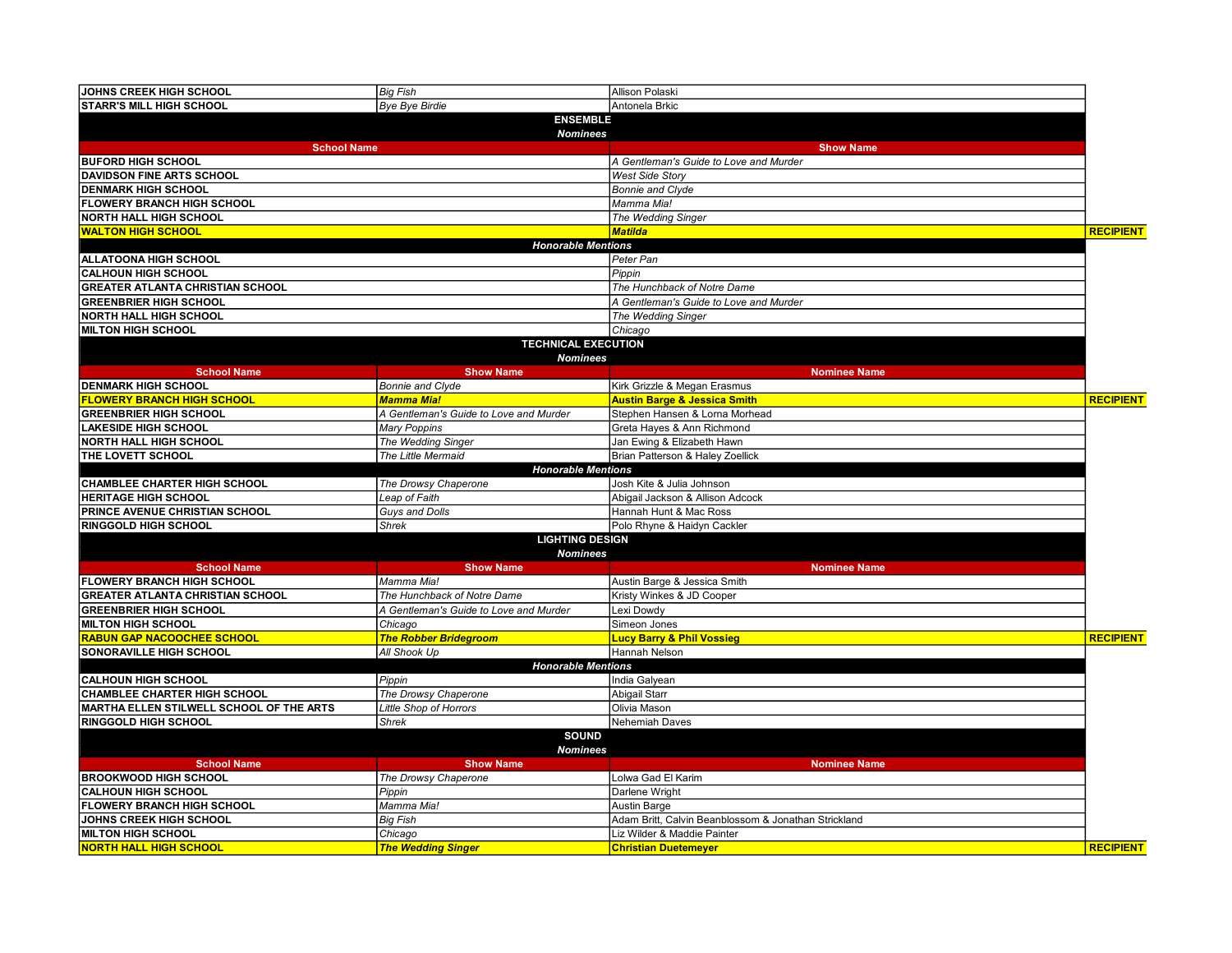| JOHNS CREEK HIGH SCHOOL                                       | <b>Big Fish</b>                        | Allison Polaski                                      |                  |
|---------------------------------------------------------------|----------------------------------------|------------------------------------------------------|------------------|
| <b>STARR'S MILL HIGH SCHOOL</b>                               | <b>Bye Bye Birdie</b>                  | Antonela Brkic                                       |                  |
|                                                               | <b>ENSEMBLE</b>                        |                                                      |                  |
|                                                               | <b>Nominees</b>                        |                                                      |                  |
| <b>School Name</b>                                            |                                        | <b>Show Name</b>                                     |                  |
| <b>BUFORD HIGH SCHOOL</b>                                     |                                        | A Gentleman's Guide to Love and Murder               |                  |
| <b>DAVIDSON FINE ARTS SCHOOL</b>                              |                                        | <b>West Side Story</b>                               |                  |
| <b>DENMARK HIGH SCHOOL</b>                                    |                                        | <b>Bonnie and Clyde</b>                              |                  |
| <b>FLOWERY BRANCH HIGH SCHOOL</b>                             |                                        | Mamma Mia!                                           |                  |
| <b>NORTH HALL HIGH SCHOOL</b>                                 |                                        | The Wedding Singer                                   |                  |
| <b>WALTON HIGH SCHOOL</b>                                     |                                        | <b>Matilda</b>                                       | <b>RECIPIENT</b> |
|                                                               | <b>Honorable Mentions</b>              |                                                      |                  |
| <b>ALLATOONA HIGH SCHOOL</b>                                  |                                        | Peter Pan                                            |                  |
| <b>CALHOUN HIGH SCHOOL</b>                                    |                                        | Pippin                                               |                  |
| <b>GREATER ATLANTA CHRISTIAN SCHOOL</b>                       |                                        | The Hunchback of Notre Dame                          |                  |
| <b>GREENBRIER HIGH SCHOOL</b>                                 |                                        | A Gentleman's Guide to Love and Murder               |                  |
|                                                               |                                        |                                                      |                  |
| <b>NORTH HALL HIGH SCHOOL</b>                                 |                                        | The Wedding Singer                                   |                  |
| <b>MILTON HIGH SCHOOL</b>                                     |                                        | Chicago                                              |                  |
|                                                               | <b>TECHNICAL EXECUTION</b>             |                                                      |                  |
|                                                               | <b>Nominees</b>                        |                                                      |                  |
| <b>School Name</b>                                            | <b>Show Name</b>                       | <b>Nominee Name</b>                                  |                  |
| <b>DENMARK HIGH SCHOOL</b>                                    | <b>Bonnie and Clyde</b>                | Kirk Grizzle & Megan Erasmus                         |                  |
| <b>FLOWERY BRANCH HIGH SCHOOL</b>                             | <b>Mamma Mia!</b>                      | <b>Austin Barge &amp; Jessica Smith</b>              | <b>RECIPIENT</b> |
| <b>GREENBRIER HIGH SCHOOL</b>                                 | A Gentleman's Guide to Love and Murder | Stephen Hansen & Lorna Morhead                       |                  |
| <b>LAKESIDE HIGH SCHOOL</b>                                   | <b>Mary Poppins</b>                    | Greta Hayes & Ann Richmond                           |                  |
| <b>NORTH HALL HIGH SCHOOL</b>                                 | The Wedding Singer                     | Jan Ewing & Elizabeth Hawn                           |                  |
| THE LOVETT SCHOOL                                             | The Little Mermaid                     | Brian Patterson & Haley Zoellick                     |                  |
|                                                               | <b>Honorable Mentions</b>              |                                                      |                  |
| <b>CHAMBLEE CHARTER HIGH SCHOOL</b>                           | The Drowsy Chaperone                   | Josh Kite & Julia Johnson                            |                  |
| <b>HERITAGE HIGH SCHOOL</b>                                   | Leap of Faith                          | Abigail Jackson & Allison Adcock                     |                  |
| PRINCE AVENUE CHRISTIAN SCHOOL                                | Guys and Dolls                         | Hannah Hunt & Mac Ross                               |                  |
| <b>RINGGOLD HIGH SCHOOL</b>                                   | <b>Shrek</b>                           | Polo Rhyne & Haidyn Cackler                          |                  |
|                                                               | <b>LIGHTING DESIGN</b>                 |                                                      |                  |
|                                                               | <b>Nominees</b>                        |                                                      |                  |
| <b>School Name</b>                                            | <b>Show Name</b>                       | <b>Nominee Name</b>                                  |                  |
| <b>FLOWERY BRANCH HIGH SCHOOL</b>                             | Mamma Mia!                             | Austin Barge & Jessica Smith                         |                  |
| <b>GREATER ATLANTA CHRISTIAN SCHOOL</b>                       | The Hunchback of Notre Dame            | Kristy Winkes & JD Cooper                            |                  |
| <b>GREENBRIER HIGH SCHOOL</b>                                 | A Gentleman's Guide to Love and Murder | Lexi Dowdy                                           |                  |
| <b>MILTON HIGH SCHOOL</b>                                     | Chicago                                | Simeon Jones                                         |                  |
| <b>RABUN GAP NACOOCHEE SCHOOL</b>                             | <b>The Robber Bridegroom</b>           | <b>Lucy Barry &amp; Phil Vossieg</b>                 | <b>RECIPIENT</b> |
| SONORAVILLE HIGH SCHOOL                                       | All Shook Up                           | Hannah Nelson                                        |                  |
| <b>Honorable Mentions</b>                                     |                                        |                                                      |                  |
| <b>CALHOUN HIGH SCHOOL</b>                                    | Pippin                                 | India Galyean                                        |                  |
| <b>CHAMBLEE CHARTER HIGH SCHOOL</b>                           | The Drowsy Chaperone                   | Abigail Starr                                        |                  |
| MARTHA ELLEN STILWELL SCHOOL OF THE ARTS                      | Little Shop of Horrors                 | Olivia Mason                                         |                  |
| <b>RINGGOLD HIGH SCHOOL</b>                                   | Shrek                                  | Nehemiah Daves                                       |                  |
|                                                               | <b>SOUND</b>                           |                                                      |                  |
| <b>Nominees</b>                                               |                                        |                                                      |                  |
| <b>School Name</b><br><b>Show Name</b><br><b>Nominee Name</b> |                                        |                                                      |                  |
| <b>BROOKWOOD HIGH SCHOOL</b>                                  | The Drowsy Chaperone                   | olwa Gad El Karim                                    |                  |
| <b>CALHOUN HIGH SCHOOL</b>                                    | Pippin                                 | Darlene Wright                                       |                  |
| <b>FLOWERY BRANCH HIGH SCHOOL</b>                             | Mamma Mia!                             |                                                      |                  |
|                                                               |                                        | Austin Barge                                         |                  |
| JOHNS CREEK HIGH SCHOOL                                       | <b>Big Fish</b>                        | Adam Britt, Calvin Beanblossom & Jonathan Strickland |                  |
| <b>MILTON HIGH SCHOOL</b>                                     | Chicago                                | Liz Wilder & Maddie Painter                          |                  |
| <b>NORTH HALL HIGH SCHOOL</b>                                 | <b>The Wedding Singer</b>              | <b>Christian Duetemeyer</b>                          | <b>RECIPIENT</b> |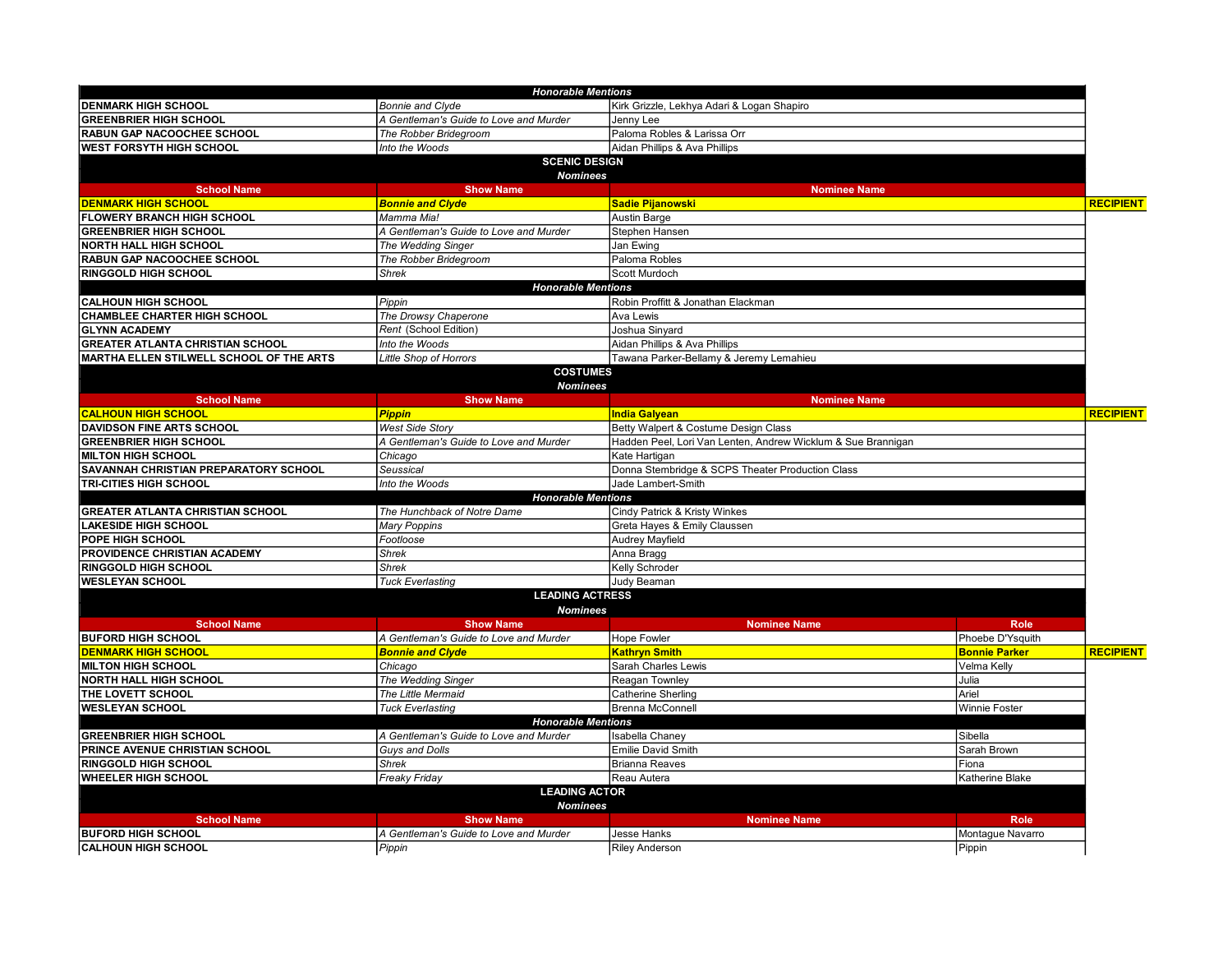|                                          | <b>Honorable Mentions</b>              |                                                              |                      |                  |
|------------------------------------------|----------------------------------------|--------------------------------------------------------------|----------------------|------------------|
| <b>DENMARK HIGH SCHOOL</b>               | <b>Bonnie and Clyde</b>                | Kirk Grizzle, Lekhya Adari & Logan Shapiro                   |                      |                  |
| <b>GREENBRIER HIGH SCHOOL</b>            | A Gentleman's Guide to Love and Murder | Jenny Lee                                                    |                      |                  |
| RABUN GAP NACOOCHEE SCHOOL               | The Robber Bridegroom                  | Paloma Robles & Larissa Orr                                  |                      |                  |
| <b>WEST FORSYTH HIGH SCHOOL</b>          | Into the Woods                         | Aidan Phillips & Ava Phillips                                |                      |                  |
|                                          | <b>SCENIC DESIGN</b>                   |                                                              |                      |                  |
|                                          | <b>Nominees</b>                        |                                                              |                      |                  |
| <b>School Name</b>                       | <b>Show Name</b>                       | <b>Nominee Name</b>                                          |                      |                  |
| <b>DENMARK HIGH SCHOOL</b>               | <b>Bonnie and Clyde</b>                | <b>Sadie Pijanowski</b>                                      |                      | <b>RECIPIENT</b> |
| <b>FLOWERY BRANCH HIGH SCHOOL</b>        | Mamma Mia!                             | Austin Barge                                                 |                      |                  |
| <b>GREENBRIER HIGH SCHOOL</b>            | A Gentleman's Guide to Love and Murder | Stephen Hansen                                               |                      |                  |
| <b>NORTH HALL HIGH SCHOOL</b>            | The Wedding Singer                     | Jan Ewing                                                    |                      |                  |
| RABUN GAP NACOOCHEE SCHOOL               | The Robber Bridegroom                  | Paloma Robles                                                |                      |                  |
| <b>RINGGOLD HIGH SCHOOL</b>              | <b>Shrek</b>                           | Scott Murdoch                                                |                      |                  |
|                                          | <b>Honorable Mentions</b>              |                                                              |                      |                  |
| <b>CALHOUN HIGH SCHOOL</b>               | Pippin                                 | Robin Proffitt & Jonathan Elackman                           |                      |                  |
| <b>CHAMBLEE CHARTER HIGH SCHOOL</b>      | The Drowsy Chaperone                   | Ava Lewis                                                    |                      |                  |
| <b>GLYNN ACADEMY</b>                     | Rent (School Edition)                  | Joshua Sinyard                                               |                      |                  |
| <b>GREATER ATLANTA CHRISTIAN SCHOOL</b>  | Into the Woods                         | Aidan Phillips & Ava Phillips                                |                      |                  |
| MARTHA ELLEN STILWELL SCHOOL OF THE ARTS | Little Shop of Horrors                 | Tawana Parker-Bellamy & Jeremy Lemahieu                      |                      |                  |
|                                          | <b>COSTUMES</b>                        |                                                              |                      |                  |
|                                          | <b>Nominees</b>                        |                                                              |                      |                  |
| <b>School Name</b>                       | <b>Show Name</b>                       | <b>Nominee Name</b>                                          |                      |                  |
| <b>CALHOUN HIGH SCHOOL</b>               | <b>Pippin</b>                          | <b>India Galyean</b>                                         |                      | <b>RECIPIENT</b> |
| <b>DAVIDSON FINE ARTS SCHOOL</b>         | <b>West Side Story</b>                 | Betty Walpert & Costume Design Class                         |                      |                  |
| <b>GREENBRIER HIGH SCHOOL</b>            | A Gentleman's Guide to Love and Murder | Hadden Peel, Lori Van Lenten, Andrew Wicklum & Sue Brannigan |                      |                  |
| <b>IMILTON HIGH SCHOOL</b>               | Chicago                                | Kate Hartigan                                                |                      |                  |
| SAVANNAH CHRISTIAN PREPARATORY SCHOOL    | Seussical                              | Donna Stembridge & SCPS Theater Production Class             |                      |                  |
| <b>TRI-CITIES HIGH SCHOOL</b>            | Into the Woods                         | Jade Lambert-Smith                                           |                      |                  |
|                                          | <b>Honorable Mentions</b>              |                                                              |                      |                  |
| <b>GREATER ATLANTA CHRISTIAN SCHOOL</b>  | The Hunchback of Notre Dame            | Cindy Patrick & Kristy Winkes                                |                      |                  |
| <b>LAKESIDE HIGH SCHOOL</b>              | <b>Mary Poppins</b>                    | Greta Hayes & Emily Claussen                                 |                      |                  |
| <b>POPE HIGH SCHOOL</b>                  | Footloose                              | Audrey Mayfield                                              |                      |                  |
| <b>PROVIDENCE CHRISTIAN ACADEMY</b>      | <b>Shrek</b>                           | Anna Bragg                                                   |                      |                  |
| <b>RINGGOLD HIGH SCHOOL</b>              | Shrek                                  | Kelly Schroder                                               |                      |                  |
| <b>WESLEYAN SCHOOL</b>                   | <b>Tuck Everlasting</b>                | Judy Beaman                                                  |                      |                  |
|                                          | <b>LEADING ACTRESS</b>                 |                                                              |                      |                  |
|                                          | <b>Nominees</b>                        |                                                              |                      |                  |
| <b>School Name</b>                       | <b>Show Name</b>                       | <b>Nominee Name</b>                                          | <b>Role</b>          |                  |
| <b>BUFORD HIGH SCHOOL</b>                | A Gentleman's Guide to Love and Murder | <b>Hope Fowler</b>                                           | Phoebe D'Ysquith     |                  |
| <b>DENMARK HIGH SCHOOL</b>               | <b>Bonnie and Clyde</b>                | <b>Kathrvn Smith</b>                                         | <b>Bonnie Parker</b> | <b>RECIPIENT</b> |
| <b>MILTON HIGH SCHOOL</b>                | Chicago                                | Sarah Charles Lewis                                          | Velma Kelly          |                  |
| <b>NORTH HALL HIGH SCHOOL</b>            | The Wedding Singer                     | Reagan Townley                                               | Julia                |                  |
| THE LOVETT SCHOOL                        | The Little Mermaid                     | Catherine Sherling                                           | Ariel                |                  |
| <b>WESLEYAN SCHOOL</b>                   | <b>Tuck Everlasting</b>                | Brenna McConnell                                             | Winnie Foster        |                  |
| <b>Honorable Mentions</b>                |                                        |                                                              |                      |                  |
| <b>GREENBRIER HIGH SCHOOL</b>            | A Gentleman's Guide to Love and Murder | <b>Isabella Chaney</b>                                       | Sibella              |                  |
| <b>PRINCE AVENUE CHRISTIAN SCHOOL</b>    | Guys and Dolls                         | <b>Emilie David Smith</b>                                    | Sarah Brown          |                  |
| <b>RINGGOLD HIGH SCHOOL</b>              | <b>Shrek</b>                           | <b>Brianna Reaves</b>                                        | Fiona                |                  |
| <b>WHEELER HIGH SCHOOL</b>               | <b>Freaky Friday</b>                   | Reau Autera                                                  | Katherine Blake      |                  |
| <b>LEADING ACTOR</b>                     |                                        |                                                              |                      |                  |
| <b>Nominees</b>                          |                                        |                                                              |                      |                  |
| <b>School Name</b>                       | <b>Show Name</b>                       | <b>Nominee Name</b>                                          | <b>Role</b>          |                  |
| <b>BUFORD HIGH SCHOOL</b>                | A Gentleman's Guide to Love and Murder | Jesse Hanks                                                  | Montague Navarro     |                  |
| <b>CALHOUN HIGH SCHOOL</b>               | Pippin                                 | <b>Riley Anderson</b>                                        | Pippin               |                  |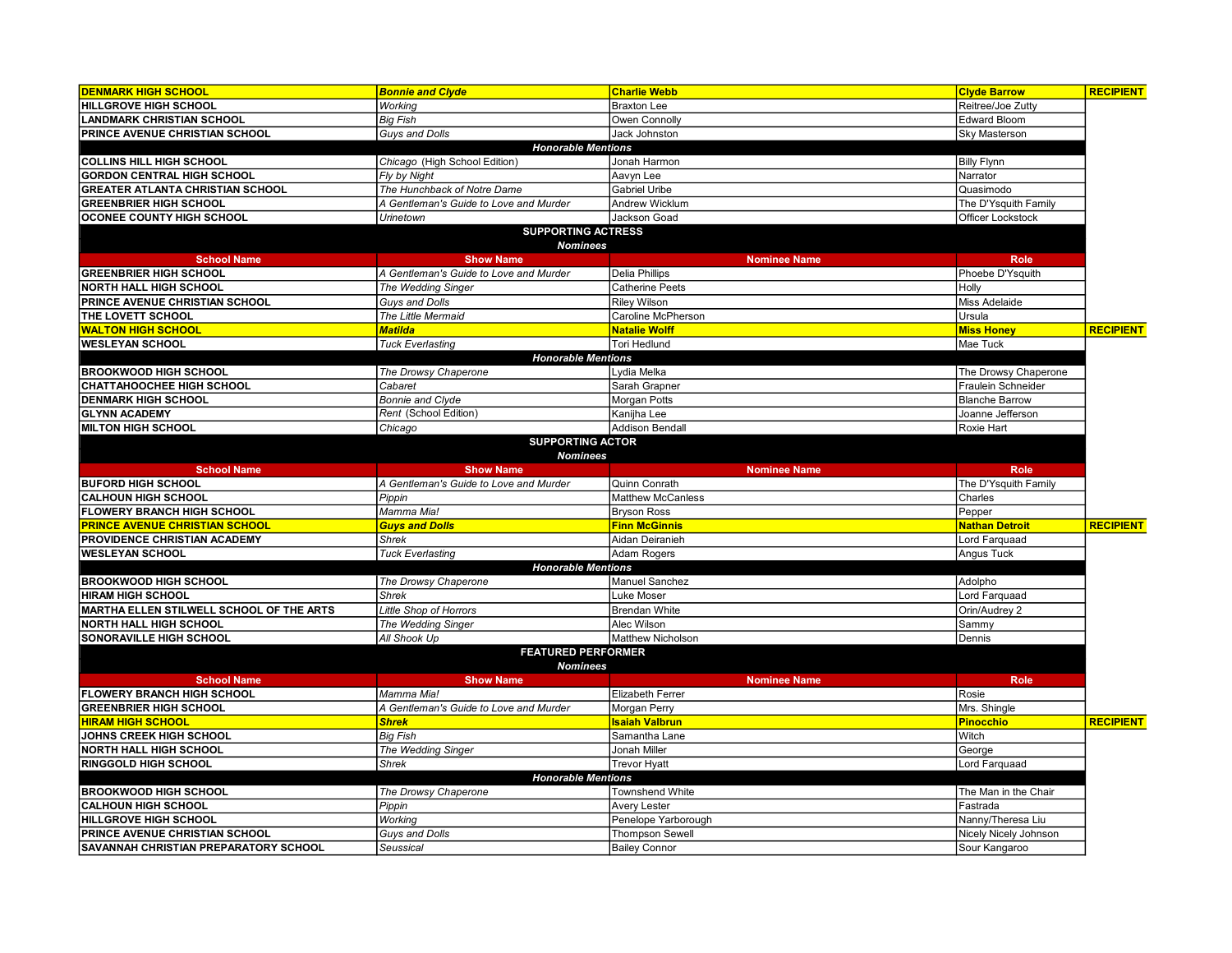| <b>DENMARK HIGH SCHOOL</b>                                     | <b>Bonnie and Clyde</b>                | <b>Charlie Webb</b>         | <b>Clyde Barrow</b>   | <b>RECIPIENT</b> |
|----------------------------------------------------------------|----------------------------------------|-----------------------------|-----------------------|------------------|
| <b>HILLGROVE HIGH SCHOOL</b>                                   | Working                                | <b>Braxton Lee</b>          | Reitree/Joe Zutty     |                  |
| <b>LANDMARK CHRISTIAN SCHOOL</b>                               | <b>Big Fish</b>                        | Owen Connolly               | <b>Edward Bloom</b>   |                  |
| PRINCE AVENUE CHRISTIAN SCHOOL                                 | Guys and Dolls                         | Jack Johnston               | Sky Masterson         |                  |
|                                                                | <b>Honorable Mentions</b>              |                             |                       |                  |
| <b>COLLINS HILL HIGH SCHOOL</b>                                | Chicago (High School Edition)          | Jonah Harmon                | <b>Billy Flynn</b>    |                  |
| <b>GORDON CENTRAL HIGH SCHOOL</b>                              | Fly by Night                           | Aavyn Lee                   | Narrator              |                  |
| <b>GREATER ATLANTA CHRISTIAN SCHOOL</b>                        | The Hunchback of Notre Dame            | <b>Gabriel Uribe</b>        | Quasimodo             |                  |
| <b>GREENBRIER HIGH SCHOOL</b>                                  | A Gentleman's Guide to Love and Murder | Andrew Wicklum              | The D'Ysquith Family  |                  |
| <b>OCONEE COUNTY HIGH SCHOOL</b>                               | Urinetown                              | <b>Jackson Goad</b>         | Officer Lockstock     |                  |
|                                                                | <b>SUPPORTING ACTRESS</b>              |                             |                       |                  |
|                                                                | <b>Nominees</b>                        |                             |                       |                  |
| <b>School Name</b>                                             | <b>Show Name</b>                       | <b>Nominee Name</b>         | <b>Role</b>           |                  |
| <b>GREENBRIER HIGH SCHOOL</b>                                  | A Gentleman's Guide to Love and Murder | Delia Phillips              | Phoebe D'Ysquith      |                  |
| <b>NORTH HALL HIGH SCHOOL</b>                                  | The Wedding Singer                     | Catherine Peets             | Holly                 |                  |
| PRINCE AVENUE CHRISTIAN SCHOOL                                 | Guys and Dolls                         | <b>Riley Wilson</b>         | Miss Adelaide         |                  |
| <b>THE LOVETT SCHOOL</b>                                       | The Little Mermaid                     | Caroline McPherson          | Ursula                |                  |
|                                                                | <b>Matilda</b>                         | <b>Natalie Wolff</b>        |                       |                  |
| <b>WALTON HIGH SCHOOL</b>                                      |                                        |                             | <b>Miss Honey</b>     | <b>RECIPIENT</b> |
| <b>WESLEYAN SCHOOL</b>                                         | <b>Tuck Everlasting</b>                | Tori Hedlund                | Mae Tuck              |                  |
|                                                                | <b>Honorable Mentions</b>              |                             |                       |                  |
| <b>BROOKWOOD HIGH SCHOOL</b>                                   | The Drowsy Chaperone                   | vdia Melka                  | The Drowsy Chaperone  |                  |
| <b>CHATTAHOOCHEE HIGH SCHOOL</b>                               | Cabaret                                | Sarah Grapner               | Fraulein Schneider    |                  |
| <b>DENMARK HIGH SCHOOL</b>                                     | Bonnie and Clyde                       | Morgan Potts                | <b>Blanche Barrow</b> |                  |
| <b>GLYNN ACADEMY</b>                                           | Rent (School Edition)                  | Kanijha Lee                 | Joanne Jefferson      |                  |
| <b>MILTON HIGH SCHOOL</b>                                      | Chicago                                | <b>Addison Bendall</b>      | Roxie Hart            |                  |
|                                                                | <b>SUPPORTING ACTOR</b>                |                             |                       |                  |
|                                                                | <b>Nominees</b>                        |                             |                       |                  |
| <b>School Name</b>                                             | <b>Show Name</b>                       | <b>Nominee Name</b>         | Role                  |                  |
| <b>BUFORD HIGH SCHOOL</b>                                      | A Gentleman's Guide to Love and Murder | Quinn Conrath               | The D'Ysquith Family  |                  |
| <b>CALHOUN HIGH SCHOOL</b>                                     | Pippin                                 | <b>Matthew McCanless</b>    | Charles               |                  |
| <b>FLOWERY BRANCH HIGH SCHOOL</b>                              | Mamma Mia!                             | <b>Bryson Ross</b>          | Pepper                |                  |
| <b>PRINCE AVENUE CHRISTIAN SCHOOL</b>                          | <b>Guys and Dolls</b>                  | <b>Finn McGinnis</b>        | <b>Nathan Detroit</b> | <b>RECIPIENT</b> |
| PROVIDENCE CHRISTIAN ACADEMY                                   | <b>Shrek</b>                           | Aidan Deiranieh             | Lord Farquaad         |                  |
| <b>WESLEYAN SCHOOL</b>                                         | <b>Tuck Everlasting</b>                | Adam Rogers                 | Angus Tuck            |                  |
|                                                                | <b>Honorable Mentions</b>              |                             |                       |                  |
| <b>BROOKWOOD HIGH SCHOOL</b>                                   | The Drowsy Chaperone                   | <b>Manuel Sanchez</b>       | Adolpho               |                  |
| <b>HIRAM HIGH SCHOOL</b>                                       | <b>Shrek</b>                           | Luke Moser                  | Lord Farquaad         |                  |
| MARTHA ELLEN STILWELL SCHOOL OF THE ARTS                       | Little Shop of Horrors                 | <b>Brendan White</b>        | Orin/Audrey 2         |                  |
| <b>NORTH HALL HIGH SCHOOL</b>                                  | The Wedding Singer                     | Alec Wilson                 | Sammy                 |                  |
| SONORAVILLE HIGH SCHOOL                                        | All Shook Up                           | Matthew Nicholson           | Dennis                |                  |
|                                                                | <b>FEATURED PERFORMER</b>              |                             |                       |                  |
| <b>Nominees</b>                                                |                                        |                             |                       |                  |
| <b>School Name</b>                                             | <b>Show Name</b>                       | <b>Nominee Name</b>         | <b>Role</b>           |                  |
| <b>FLOWERY BRANCH HIGH SCHOOL</b>                              | Mamma Mia!                             | <b>Elizabeth Ferrer</b>     | Rosie                 |                  |
| <b>GREENBRIER HIGH SCHOOL</b>                                  | A Gentleman's Guide to Love and Murder | Morgan Perry                | Mrs. Shingle          |                  |
| <b>HIRAM HIGH SCHOOL</b>                                       | <b>Shrek</b>                           | <mark>Isaiah Valbrun</mark> | <b>Pinocchio</b>      | <b>RECIPIENT</b> |
| JOHNS CREEK HIGH SCHOOL                                        | <b>Big Fish</b>                        | Samantha Lane               | Witch                 |                  |
| <b>NORTH HALL HIGH SCHOOL</b>                                  | The Wedding Singer                     | Jonah Miller                | George                |                  |
| <b>RINGGOLD HIGH SCHOOL</b>                                    | <b>Shrek</b>                           | <b>Trevor Hyatt</b>         | Lord Farquaad         |                  |
|                                                                | <b>Honorable Mentions</b>              |                             |                       |                  |
| <b>BROOKWOOD HIGH SCHOOL</b>                                   | The Drowsy Chaperone                   | <b>Townshend White</b>      | The Man in the Chair  |                  |
| <b>CALHOUN HIGH SCHOOL</b>                                     |                                        | <b>Avery Lester</b>         | Fastrada              |                  |
|                                                                | Pippin                                 |                             |                       |                  |
| <b>HILLGROVE HIGH SCHOOL</b><br>PRINCE AVENUE CHRISTIAN SCHOOL | Working                                | Penelope Yarborough         | Nanny/Theresa Liu     |                  |
|                                                                | Guys and Dolls                         | <b>Thompson Sewell</b>      | Nicely Nicely Johnson |                  |
| <b>SAVANNAH CHRISTIAN PREPARATORY SCHOOL</b>                   | Seussical                              | <b>Bailey Connor</b>        | Sour Kangaroo         |                  |